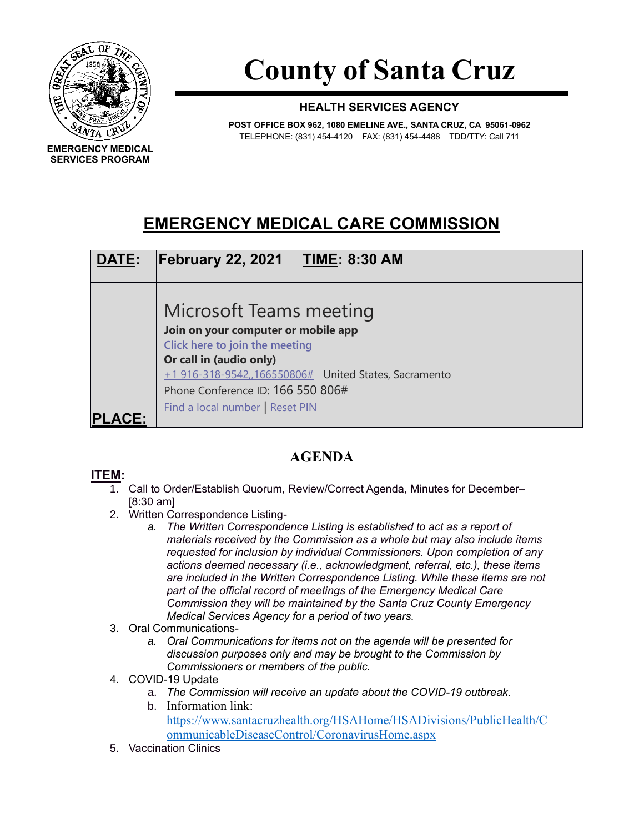

**SERVICES PROGRAM**

**County of Santa Cruz**

## **HEALTH SERVICES AGENCY**

**POST OFFICE BOX 962, 1080 EMELINE AVE., SANTA CRUZ, CA 95061-0962** TELEPHONE: (831) 454-4120 FAX: (831) 454-4488 TDD/TTY: Call 711

## **EMERGENCY MEDICAL CARE COMMISSION**



## **AGENDA**

## **ITEM:**

- 1. Call to Order/Establish Quorum, Review/Correct Agenda, Minutes for December– [8:30 am]
- 2. Written Correspondence Listing
	- *a. The Written Correspondence Listing is established to act as a report of materials received by the Commission as a whole but may also include items requested for inclusion by individual Commissioners. Upon completion of any actions deemed necessary (i.e., acknowledgment, referral, etc.), these items are included in the Written Correspondence Listing. While these items are not part of the official record of meetings of the Emergency Medical Care Commission they will be maintained by the Santa Cruz County Emergency Medical Services Agency for a period of two years.*
- 3. Oral Communications
	- *a. Oral Communications for items not on the agenda will be presented for discussion purposes only and may be brought to the Commission by Commissioners or members of the public.*
- 4. COVID-19 Update
	- a. *The Commission will receive an update about the COVID-19 outbreak.*
	- b. Information link: [https://www.santacruzhealth.org/HSAHome/HSADivisions/PublicHealth/C](https://www.santacruzhealth.org/HSAHome/HSADivisions/PublicHealth/CommunicableDiseaseControl/CoronavirusHome.aspx) [ommunicableDiseaseControl/CoronavirusHome.aspx](https://www.santacruzhealth.org/HSAHome/HSADivisions/PublicHealth/CommunicableDiseaseControl/CoronavirusHome.aspx)
- 5. Vaccination Clinics